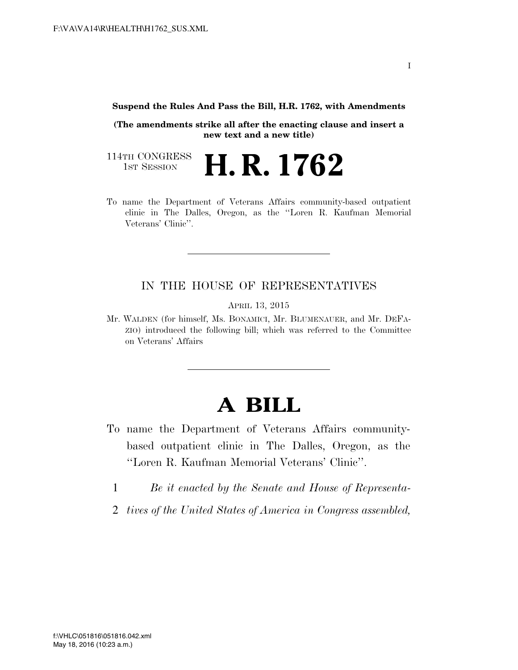**Suspend the Rules And Pass the Bill, H.R. 1762, with Amendments** 

**(The amendments strike all after the enacting clause and insert a new text and a new title)** 

114TH CONGRESS<br>1st Session H. R. 1762

To name the Department of Veterans Affairs community-based outpatient clinic in The Dalles, Oregon, as the ''Loren R. Kaufman Memorial Veterans' Clinic''.

## IN THE HOUSE OF REPRESENTATIVES

APRIL 13, 2015

Mr. WALDEN (for himself, Ms. BONAMICI, Mr. BLUMENAUER, and Mr. DEFA-ZIO) introduced the following bill; which was referred to the Committee on Veterans' Affairs

## **A BILL**

- To name the Department of Veterans Affairs communitybased outpatient clinic in The Dalles, Oregon, as the ''Loren R. Kaufman Memorial Veterans' Clinic''.
	- 1 *Be it enacted by the Senate and House of Representa-*
	- 2 *tives of the United States of America in Congress assembled,*